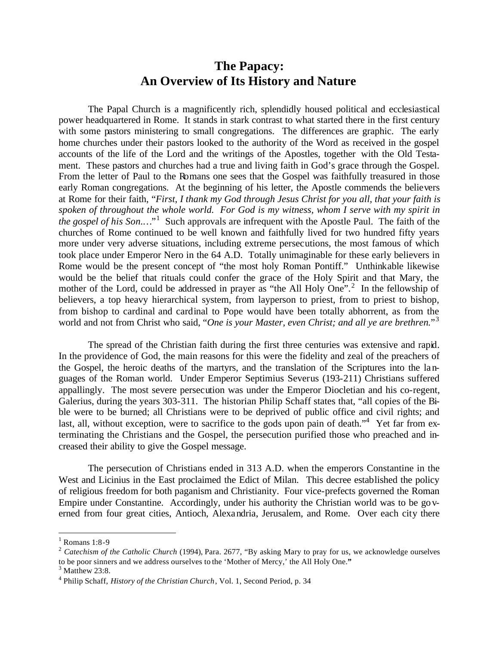# **The Papacy: An Overview of Its History and Nature**

The Papal Church is a magnificently rich, splendidly housed political and ecclesiastical power headquartered in Rome. It stands in stark contrast to what started there in the first century with some pastors ministering to small congregations. The differences are graphic. The early home churches under their pastors looked to the authority of the Word as received in the gospel accounts of the life of the Lord and the writings of the Apostles, together with the Old Testament. These pastors and churches had a true and living faith in God's grace through the Gospel. From the letter of Paul to the Romans one sees that the Gospel was faithfully treasured in those early Roman congregations. At the beginning of his letter, the Apostle commends the believers at Rome for their faith, "*First, I thank my God through Jesus Christ for you all, that your faith is spoken of throughout the whole world. For God is my witness, whom I serve with my spirit in the gospel of his Son...*<sup>1</sup> Such approvals are infrequent with the Apostle Paul. The faith of the churches of Rome continued to be well known and faithfully lived for two hundred fifty years more under very adverse situations, including extreme persecutions, the most famous of which took place under Emperor Nero in the 64 A.D. Totally unimaginable for these early believers in Rome would be the present concept of "the most holy Roman Pontiff." Unthinkable likewise would be the belief that rituals could confer the grace of the Holy Spirit and that Mary, the mother of the Lord, could be addressed in prayer as "the All Holy One".<sup>2</sup> In the fellowship of believers, a top heavy hierarchical system, from layperson to priest, from to priest to bishop, from bishop to cardinal and cardinal to Pope would have been totally abhorrent, as from the world and not from Christ who said, "*One is your Master, even Christ; and all ye are brethren.*" 3

The spread of the Christian faith during the first three centuries was extensive and rapid. In the providence of God, the main reasons for this were the fidelity and zeal of the preachers of the Gospel, the heroic deaths of the martyrs, and the translation of the Scriptures into the languages of the Roman world. Under Emperor Septimius Severus (193-211) Christians suffered appallingly. The most severe persecution was under the Emperor Diocletian and his co-regent, Galerius, during the years 303-311. The historian Philip Schaff states that, "all copies of the Bible were to be burned; all Christians were to be deprived of public office and civil rights; and last, all, without exception, were to sacrifice to the gods upon pain of death."<sup>4</sup> Yet far from exterminating the Christians and the Gospel, the persecution purified those who preached and increased their ability to give the Gospel message.

The persecution of Christians ended in 313 A.D. when the emperors Constantine in the West and Licinius in the East proclaimed the Edict of Milan.This decree established the policy of religious freedom for both paganism and Christianity. Four vice-prefects governed the Roman Empire under Constantine. Accordingly, under his authority the Christian world was to be governed from four great cities, Antioch, Alexandria, Jerusalem, and Rome. Over each city there

 $<sup>1</sup>$  Romans 1:8-9</sup>

<sup>&</sup>lt;sup>2</sup> Catechism of the Catholic Church (1994), Para. 2677, "By asking Mary to pray for us, we acknowledge ourselves to be poor sinners and we address ourselves to the 'Mother of Mercy,' the All Holy One.**"**

 $3$  Matthew 23:8.

<sup>4</sup> Philip Schaff, *History of the Christian Church*, Vol. 1, Second Period, p. 34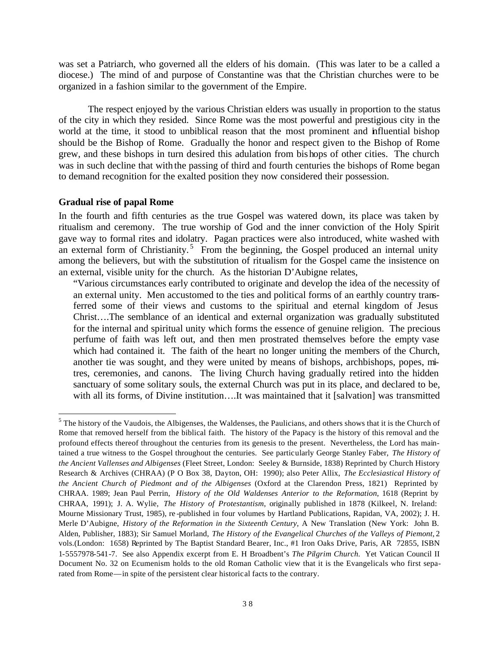was set a Patriarch, who governed all the elders of his domain. (This was later to be a called a diocese.) The mind of and purpose of Constantine was that the Christian churches were to be organized in a fashion similar to the government of the Empire.

The respect enjoyed by the various Christian elders was usually in proportion to the status of the city in which they resided. Since Rome was the most powerful and prestigious city in the world at the time, it stood to unbiblical reason that the most prominent and influential bishop should be the Bishop of Rome. Gradually the honor and respect given to the Bishop of Rome grew, and these bishops in turn desired this adulation from bishops of other cities. The church was in such decline that with the passing of third and fourth centuries the bishops of Rome began to demand recognition for the exalted position they now considered their possession.

## **Gradual rise of papal Rome**

In the fourth and fifth centuries as the true Gospel was watered down, its place was taken by ritualism and ceremony. The true worship of God and the inner conviction of the Holy Spirit gave way to formal rites and idolatry. Pagan practices were also introduced, white washed with an external form of Christianity.<sup>5</sup> From the beginning, the Gospel produced an internal unity among the believers, but with the substitution of ritualism for the Gospel came the insistence on an external, visible unity for the church. As the historian D'Aubigne relates,

"Various circumstances early contributed to originate and develop the idea of the necessity of an external unity. Men accustomed to the ties and political forms of an earthly country transferred some of their views and customs to the spiritual and eternal kingdom of Jesus Christ….The semblance of an identical and external organization was gradually substituted for the internal and spiritual unity which forms the essence of genuine religion. The precious perfume of faith was left out, and then men prostrated themselves before the empty vase which had contained it. The faith of the heart no longer uniting the members of the Church, another tie was sought, and they were united by means of bishops, archbishops, popes, mitres, ceremonies, and canons. The living Church having gradually retired into the hidden sanctuary of some solitary souls, the external Church was put in its place, and declared to be, with all its forms, of Divine institution….It was maintained that it [salvation] was transmitted

 $\overline{a}$  $<sup>5</sup>$  The history of the Vaudois, the Albigenses, the Waldenses, the Paulicians, and others shows that it is the Church of</sup> Rome that removed herself from the biblical faith. The history of the Papacy is the history of this removal and the profound effects thereof throughout the centuries from its genesis to the present. Nevertheless, the Lord has maintained a true witness to the Gospel throughout the centuries. See particularly George Stanley Faber, *The History of the Ancient Vallenses and Albigenses* (Fleet Street, London: Seeley & Burnside, 1838) Reprinted by Church History Research & Archives (CHRAA) (P O Box 38, Dayton, OH: 1990); also Peter Allix, *The Ecclesiastical History of the Ancient Church of Piedmont and of the Albigenses* (Oxford at the Clarendon Press, 1821) Reprinted by CHRAA. 1989; Jean Paul Perrin, *History of the Old Waldenses Anterior to the Reformation*, 1618 (Reprint by CHRAA, 1991); J. A. Wylie, *The History of Protestantism*, originally published in 1878 (Kilkeel, N. Ireland: Mourne Missionary Trust, 1985), re -published in four volumes by Hartland Publications, Rapidan, VA, 2002); J. H. Merle D'Aubigne, *History of the Reformation in the Sixteenth Century,* A New Translation (New York: John B. Alden, Publisher, 1883); Sir Samuel Morland, *The History of the Evangelical Churches of the Valleys of Piemont*, 2 vols.(London: 1658) Reprinted by The Baptist Standard Bearer, Inc., #1 Iron Oaks Drive, Paris, AR 72855, ISBN 1-5557978-541-7. See also Appendix excerpt from E. H Broadbent's *The Pilgrim Church.* Yet Vatican Council II Document No. 32 on Ecumenism holds to the old Roman Catholic view that it is the Evangelicals who first separated from Rome—in spite of the persistent clear historical facts to the contrary.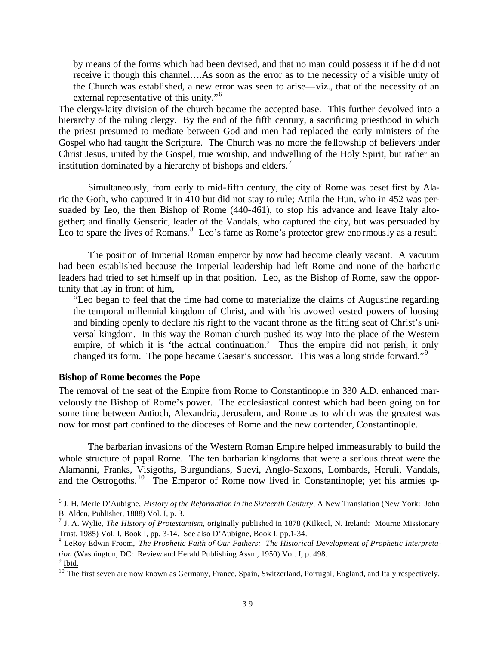by means of the forms which had been devised, and that no man could possess it if he did not receive it though this channel….As soon as the error as to the necessity of a visible unity of the Church was established, a new error was seen to arise—viz., that of the necessity of an external representative of this unity."<sup>6</sup>

The clergy-laity division of the church became the accepted base. This further devolved into a hierarchy of the ruling clergy. By the end of the fifth century, a sacrificing priesthood in which the priest presumed to mediate between God and men had replaced the early ministers of the Gospel who had taught the Scripture. The Church was no more the fe llowship of believers under Christ Jesus, united by the Gospel, true worship, and indwelling of the Holy Spirit, but rather an institution dominated by a hierarchy of bishops and elders.<sup>7</sup>

Simultaneously, from early to mid-fifth century, the city of Rome was beset first by Alaric the Goth, who captured it in 410 but did not stay to rule; Attila the Hun, who in 452 was persuaded by Leo, the then Bishop of Rome (440-461), to stop his advance and leave Italy altogether; and finally Genseric, leader of the Vandals, who captured the city, but was persuaded by Leo to spare the lives of Romans.<sup>8</sup> Leo's fame as Rome's protector grew enormously as a result.

The position of Imperial Roman emperor by now had become clearly vacant. A vacuum had been established because the Imperial leadership had left Rome and none of the barbaric leaders had tried to set himself up in that position. Leo, as the Bishop of Rome, saw the opportunity that lay in front of him,

"Leo began to feel that the time had come to materialize the claims of Augustine regarding the temporal millennial kingdom of Christ, and with his avowed vested powers of loosing and binding openly to declare his right to the vacant throne as the fitting seat of Christ's universal kingdom. In this way the Roman church pushed its way into the place of the Western empire, of which it is 'the actual continuation.' Thus the empire did not perish; it only changed its form. The pope became Caesar's successor. This was a long stride forward."<sup>9</sup>

## **Bishop of Rome becomes the Pope**

 $\overline{a}$ 

The removal of the seat of the Empire from Rome to Constantinople in 330 A.D. enhanced marvelously the Bishop of Rome's power. The ecclesiastical contest which had been going on for some time between Antioch, Alexandria, Jerusalem, and Rome as to which was the greatest was now for most part confined to the dioceses of Rome and the new contender, Constantinople.

The barbarian invasions of the Western Roman Empire helped immeasurably to build the whole structure of papal Rome. The ten barbarian kingdoms that were a serious threat were the Alamanni, Franks, Visigoths, Burgundians, Suevi, Anglo-Saxons, Lombards, Heruli, Vandals, and the Ostrogoths.<sup>10</sup> The Emperor of Rome now lived in Constantinople; yet his armies up-

<sup>6</sup> J. H. Merle D'Aubigne, *History of the Reformation in the Sixteenth Century,* A New Translation (New York: John B. Alden, Publisher, 1888) Vol. I, p. 3.

<sup>7</sup> J. A. Wylie, *The History of Protestantism*, originally published in 1878 (Kilkeel, N. Ireland: Mourne Missionary Trust, 1985) Vol. I, Book I, pp. 3-14. See also D'Aubigne, Book I, pp.1-34.

<sup>8</sup> LeRoy Edwin Froom, *The Prophetic Faith of Our Fathers: The Historical Development of Prophetic Interpretation* (Washington, DC: Review and Herald Publishing Assn., 1950) Vol. I, p. 498.  $9$  Ibid.

 $10$  The first seven are now known as Germany, France, Spain, Switzerland, Portugal, England, and Italy respectively.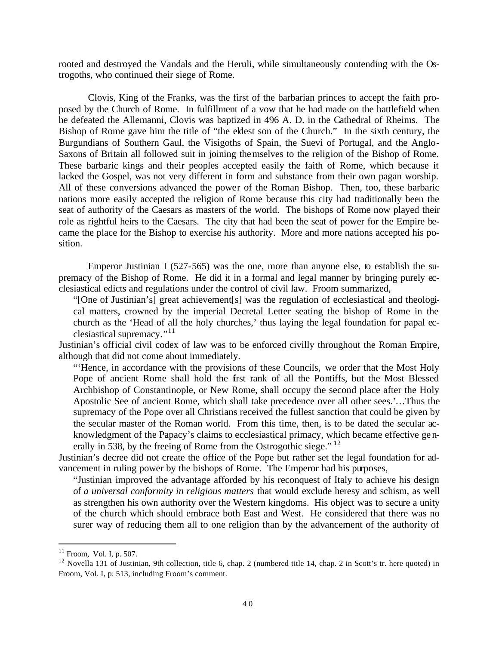rooted and destroyed the Vandals and the Heruli, while simultaneously contending with the Ostrogoths, who continued their siege of Rome.

Clovis, King of the Franks, was the first of the barbarian princes to accept the faith proposed by the Church of Rome. In fulfillment of a vow that he had made on the battlefield when he defeated the Allemanni, Clovis was baptized in 496 A. D. in the Cathedral of Rheims. The Bishop of Rome gave him the title of "the eldest son of the Church." In the sixth century, the Burgundians of Southern Gaul, the Visigoths of Spain, the Suevi of Portugal, and the Anglo-Saxons of Britain all followed suit in joining themselves to the religion of the Bishop of Rome. These barbaric kings and their peoples accepted easily the faith of Rome, which because it lacked the Gospel, was not very different in form and substance from their own pagan worship. All of these conversions advanced the power of the Roman Bishop. Then, too, these barbaric nations more easily accepted the religion of Rome because this city had traditionally been the seat of authority of the Caesars as masters of the world. The bishops of Rome now played their role as rightful heirs to the Caesars. The city that had been the seat of power for the Empire became the place for the Bishop to exercise his authority. More and more nations accepted his position.

Emperor Justinian I (527-565) was the one, more than anyone else, to establish the supremacy of the Bishop of Rome. He did it in a formal and legal manner by bringing purely ecclesiastical edicts and regulations under the control of civil law. Froom summarized,

"[One of Justinian's] great achievement[s] was the regulation of ecclesiastical and theological matters, crowned by the imperial Decretal Letter seating the bishop of Rome in the church as the 'Head of all the holy churches,' thus laying the legal foundation for papal ecclesiastical supremacy."<sup>11</sup>

Justinian's official civil codex of law was to be enforced civilly throughout the Roman Empire, although that did not come about immediately.

"'Hence, in accordance with the provisions of these Councils, we order that the Most Holy Pope of ancient Rome shall hold the first rank of all the Pontiffs, but the Most Blessed Archbishop of Constantinople, or New Rome, shall occupy the second place after the Holy Apostolic See of ancient Rome, which shall take precedence over all other sees.'…Thus the supremacy of the Pope over all Christians received the fullest sanction that could be given by the secular master of the Roman world. From this time, then, is to be dated the secular acknowledgment of the Papacy's claims to ecclesiastical primacy, which became effective generally in 538, by the freeing of Rome from the Ostrogothic siege."  $12$ 

Justinian's decree did not create the office of the Pope but rather set the legal foundation for advancement in ruling power by the bishops of Rome. The Emperor had his purposes,

"Justinian improved the advantage afforded by his reconquest of Italy to achieve his design of *a universal conformity in religious matters* that would exclude heresy and schism, as well as strengthen his own authority over the Western kingdoms. His object was to secure a unity of the church which should embrace both East and West. He considered that there was no surer way of reducing them all to one religion than by the advancement of the authority of

 $11$  Froom, Vol. I, p. 507.

 $12$  Novella 131 of Justinian, 9th collection, title 6, chap. 2 (numbered title 14, chap. 2 in Scott's tr. here quoted) in Froom, Vol. I, p. 513, including Froom's comment.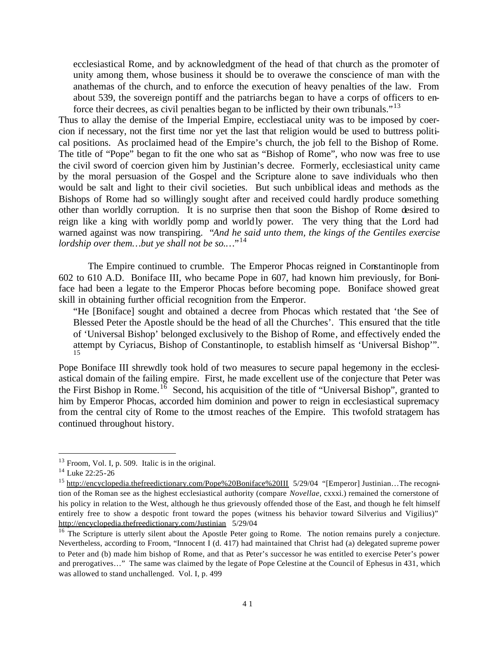ecclesiastical Rome, and by acknowledgment of the head of that church as the promoter of unity among them, whose business it should be to overawe the conscience of man with the anathemas of the church, and to enforce the execution of heavy penalties of the law. From about 539, the sovereign pontiff and the patriarchs began to have a corps of officers to enforce their decrees, as civil penalties began to be inflicted by their own tribunals.<sup> $13$ </sup>

Thus to allay the demise of the Imperial Empire, ecclestiacal unity was to be imposed by coercion if necessary, not the first time nor yet the last that religion would be used to buttress political positions. As proclaimed head of the Empire's church, the job fell to the Bishop of Rome. The title of "Pope" began to fit the one who sat as "Bishop of Rome", who now was free to use the civil sword of coercion given him by Justinian's decree. Formerly, ecclesiastical unity came by the moral persuasion of the Gospel and the Scripture alone to save individuals who then would be salt and light to their civil societies. But such unbiblical ideas and methods as the Bishops of Rome had so willingly sought after and received could hardly produce something other than worldly corruption. It is no surprise then that soon the Bishop of Rome desired to reign like a king with worldly pomp and worldly power. The very thing that the Lord had warned against was now transpiring. "*And he said unto them, the kings of the Gentiles exercise lordship over them…but ye shall not be so.…*" 14

The Empire continued to crumble. The Emperor Phocas reigned in Constantinople from 602 to 610 A.D. Boniface III, who became Pope in 607, had known him previously, for Boniface had been a legate to the Emperor Phocas before becoming pope. Boniface showed great skill in obtaining further official recognition from the Emperor.

"He [Boniface] sought and obtained a decree from Phocas which restated that 'the See of Blessed Peter the Apostle should be the head of all the Churches'. This ensured that the title of 'Universal Bishop' belonged exclusively to the Bishop of Rome, and effectively ended the attempt by Cyriacus, Bishop of Constantinople, to establish himself as 'Universal Bishop'". 15

Pope Boniface III shrewdly took hold of two measures to secure papal hegemony in the ecclesiastical domain of the failing empire. First, he made excellent use of the conjecture that Peter was the First Bishop in Rome.<sup>16</sup> Second, his acquisition of the title of "Universal Bishop", granted to him by Emperor Phocas, accorded him dominion and power to reign in ecclesiastical supremacy from the central city of Rome to the utmost reaches of the Empire. This twofold stratagem has continued throughout history.

 $13$  Froom, Vol. I, p. 509. Italic is in the original.

 $14$  Luke 22:25-26

<sup>&</sup>lt;sup>15</sup> http://encyclopedia.thefreedictionary.com/Pope%20Boniface%20III 5/29/04 "[Emperor] Justinian...The recognition of the Roman see as the highest ecclesiastical authority (compare *Novellae*, cxxxi.) remained the cornerstone of his policy in relation to the West, although he thus grievously offended those of the East, and though he felt himself entirely free to show a despotic front toward the popes (witness his behavior toward Silverius and Vigilius)" http://encyclopedia.thefreedictionary.com/Justinian 5/29/04

<sup>&</sup>lt;sup>16</sup> The Scripture is utterly silent about the Apostle Peter going to Rome. The notion remains purely a conjecture. Nevertheless, according to Froom, "Innocent I (d. 417) had maintained that Christ had (a) delegated supreme power to Peter and (b) made him bishop of Rome, and that as Peter's successor he was entitled to exercise Peter's power and prerogatives…" The same was claimed by the legate of Pope Celestine at the Council of Ephesus in 431, which was allowed to stand unchallenged. Vol. I, p. 499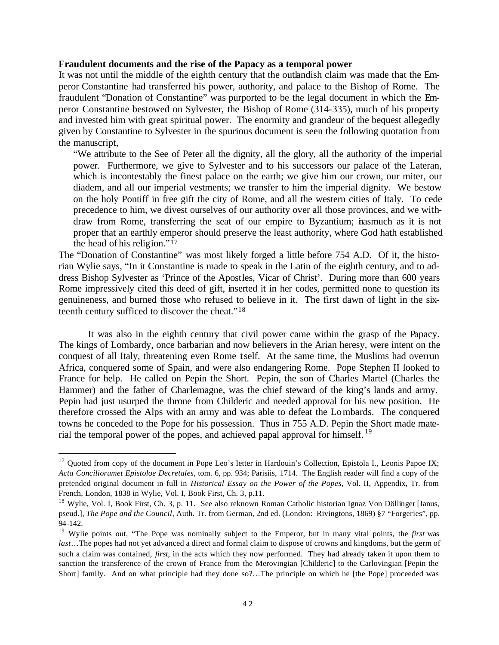#### **Fraudulent documents and the rise of the Papacy as a temporal power**

It was not until the middle of the eighth century that the outlandish claim was made that the Emperor Constantine had transferred his power, authority, and palace to the Bishop of Rome. The fraudulent "Donation of Constantine" was purported to be the legal document in which the Emperor Constantine bestowed on Sylvester, the Bishop of Rome (314-335), much of his property and invested him with great spiritual power. The enormity and grandeur of the bequest allegedly given by Constantine to Sylvester in the spurious document is seen the following quotation from the manuscript,

"We attribute to the See of Peter all the dignity, all the glory, all the authority of the imperial power. Furthermore, we give to Sylvester and to his successors our palace of the Lateran, which is incontestably the finest palace on the earth; we give him our crown, our miter, our diadem, and all our imperial vestments; we transfer to him the imperial dignity. We bestow on the holy Pontiff in free gift the city of Rome, and all the western cities of Italy. To cede precedence to him, we divest ourselves of our authority over all those provinces, and we withdraw from Rome, transferring the seat of our empire to Byzantium; inasmuch as it is not proper that an earthly emperor should preserve the least authority, where God hath established the head of his religion."<sup>17</sup>

The "Donation of Constantine" was most likely forged a little before 754 A.D. Of it, the historian Wylie says, "In it Constantine is made to speak in the Latin of the eighth century, and to address Bishop Sylvester as 'Prince of the Apostles, Vicar of Christ'. During more than 600 years Rome impressively cited this deed of gift, inserted it in her codes, permitted none to question its genuineness, and burned those who refused to believe in it. The first dawn of light in the sixteenth century sufficed to discover the cheat."<sup>18</sup>

It was also in the eighth century that civil power came within the grasp of the Papacy. The kings of Lombardy, once barbarian and now believers in the Arian heresy, were intent on the conquest of all Italy, threatening even Rome itself. At the same time, the Muslims had overrun Africa, conquered some of Spain, and were also endangering Rome. Pope Stephen II looked to France for help. He called on Pepin the Short. Pepin, the son of Charles Martel (Charles the Hammer) and the father of Charlemagne, was the chief steward of the king's lands and army. Pepin had just usurped the throne from Childeric and needed approval for his new position. He therefore crossed the Alps with an army and was able to defeat the Lombards. The conquered towns he conceded to the Pope for his possession. Thus in 755 A.D. Pepin the Short made material the temporal power of the popes, and achieved papal approval for himself.<sup>19</sup>

<sup>&</sup>lt;sup>17</sup> Quoted from copy of the document in Pope Leo's letter in Hardouin's Collection, Epistola I., Leonis Papoe IX; *Acta Conciliorumet Epistoloe Decretales*, tom. 6, pp. 934; Parisiis, 1714. The English reader will find a copy of the pretended original document in full in *Historical Essay on the Power of the Popes*, Vol. II, Appendix, Tr. from French, London, 1838 in Wylie, Vol. I, Book First, Ch. 3, p.11.

<sup>&</sup>lt;sup>18</sup> Wylie, Vol. I, Book First, Ch. 3, p. 11. See also reknown Roman Catholic historian Ignaz Von Döllinger [Janus, pseud.], *The Pope and the Council*, Auth. Tr. from German, 2nd ed. (London: Rivingtons, 1869) §7 "Forgeries", pp. 94-142.

<sup>19</sup> Wylie points out, "The Pope was nominally subject to the Emperor, but in many vital points, the *first* was *last*…The popes had not yet advanced a direct and formal claim to dispose of crowns and kingdoms, but the germ of such a claim was contained, *first*, in the acts which they now performed. They had already taken it upon them to sanction the transference of the crown of France from the Merovingian [Childeric] to the Carlovingian [Pepin the Short] family. And on what principle had they done so?…The principle on which he [the Pope] proceeded was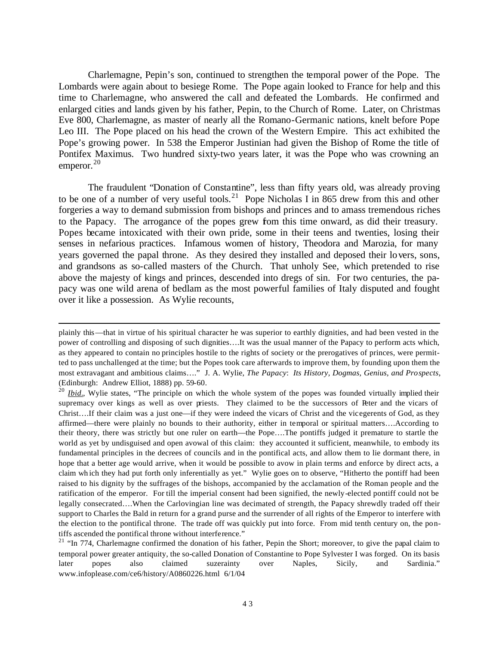Charlemagne, Pepin's son, continued to strengthen the temporal power of the Pope. The Lombards were again about to besiege Rome. The Pope again looked to France for help and this time to Charlemagne, who answered the call and defeated the Lombards. He confirmed and enlarged cities and lands given by his father, Pepin, to the Church of Rome. Later, on Christmas Eve 800, Charlemagne, as master of nearly all the Romano-Germanic nations, knelt before Pope Leo III. The Pope placed on his head the crown of the Western Empire. This act exhibited the Pope's growing power. In 538 the Emperor Justinian had given the Bishop of Rome the title of Pontifex Maximus. Two hundred sixty-two years later, it was the Pope who was crowning an emperor. $20$ 

The fraudulent "Donation of Constantine", less than fifty years old, was already proving to be one of a number of very useful tools.<sup>21</sup> Pope Nicholas I in 865 drew from this and other forgeries a way to demand submission from bishops and princes and to amass tremendous riches to the Papacy. The arrogance of the popes grew from this time onward, as did their treasury. Popes became intoxicated with their own pride, some in their teens and twenties, losing their senses in nefarious practices. Infamous women of history, Theodora and Marozia, for many years governed the papal throne. As they desired they installed and deposed their lovers, sons, and grandsons as so-called masters of the Church. That unholy See, which pretended to rise above the majesty of kings and princes, descended into dregs of sin. For two centuries, the papacy was one wild arena of bedlam as the most powerful families of Italy disputed and fought over it like a possession. As Wylie recounts,

plainly this—that in virtue of his spiritual character he was superior to earthly dignities, and had been vested in the power of controlling and disposing of such dignities….It was the usual manner of the Papacy to perform acts which, as they appeared to contain no principles hostile to the rights of society or the prerogatives of princes, were permitted to pass unchallenged at the time; but the Popes took care afterwards to improve them, by founding upon them the most extravagant and ambitious claims…." J. A. Wylie, *The Papacy*: *Its History, Dogmas, Genius, and Prospects*, (Edinburgh: Andrew Elliot, 1888) pp. 59-60.

<sup>&</sup>lt;sup>20</sup> *Ibid.*, Wylie states, "The principle on which the whole system of the popes was founded virtually implied their supremacy over kings as well as over priests. They claimed to be the successors of Peter and the vicars of Christ….If their claim was a just one—if they were indeed the vicars of Christ and the vicegerents of God, as they affirmed—there were plainly no bounds to their authority, either in temporal or spiritual matters….According to their theory, there was strictly but one ruler on earth—the Pope….The pontiffs judged it premature to startle the world as yet by undisguised and open avowal of this claim: they accounted it sufficient, meanwhile, to embody its fundamental principles in the decrees of councils and in the pontifical acts, and allow them to lie dormant there, in hope that a better age would arrive, when it would be possible to avow in plain terms and enforce by direct acts, a claim wh ich they had put forth only inferentially as yet." Wylie goes on to observe, "Hitherto the pontiff had been raised to his dignity by the suffrages of the bishops, accompanied by the acclamation of the Roman people and the ratification of the emperor. For till the imperial consent had been signified, the newly-elected pontiff could not be legally consecrated….When the Carlovingian line was decimated of strength, the Papacy shrewdly traded off their support to Charles the Bald in return for a grand purse and the surrender of all rights of the Emperor to interfere with the election to the pontifical throne. The trade off was quickly put into force. From mid tenth century on, the pontiffs ascended the pontifical throne without interference."

<sup>&</sup>lt;sup>21</sup> "In 774, Charlemagne confirmed the donation of his father, Pepin the Short; moreover, to give the papal claim to temporal power greater antiquity, the so-called Donation of Constantine to Pope Sylvester I was forged. On its basis later popes also claimed suzerainty over Naples, Sicily, and Sardinia." www.infoplease.com/ce6/history/A0860226.html 6/1/04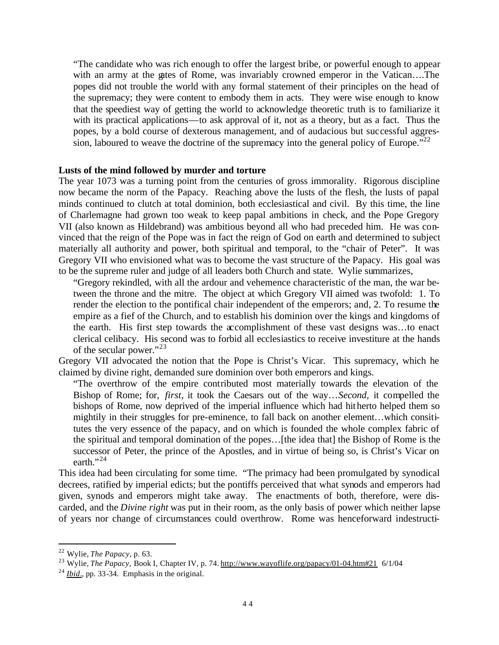"The candidate who was rich enough to offer the largest bribe, or powerful enough to appear with an army at the gates of Rome, was invariably crowned emperor in the Vatican....The popes did not trouble the world with any formal statement of their principles on the head of the supremacy; they were content to embody them in acts. They were wise enough to know that the speediest way of getting the world to acknowledge theoretic truth is to familiarize it with its practical applications—to ask approval of it, not as a theory, but as a fact. Thus the popes, by a bold course of dexterous management, and of audacious but successful aggression, laboured to weave the doctrine of the supremacy into the general policy of Europe. $\cdot$ <sup>22</sup>

## **Lusts of the mind followed by murder and torture**

The year 1073 was a turning point from the centuries of gross immorality. Rigorous discipline now became the norm of the Papacy. Reaching above the lusts of the flesh, the lusts of papal minds continued to clutch at total dominion, both ecclesiastical and civil. By this time, the line of Charlemagne had grown too weak to keep papal ambitions in check, and the Pope Gregory VII (also known as Hildebrand) was ambitious beyond all who had preceded him. He was convinced that the reign of the Pope was in fact the reign of God on earth and determined to subject materially all authority and power, both spiritual and temporal, to the "chair of Peter". It was Gregory VII who envisioned what was to become the vast structure of the Papacy. His goal was to be the supreme ruler and judge of all leaders both Church and state. Wylie summarizes,

"Gregory rekindled, with all the ardour and vehemence characteristic of the man, the war between the throne and the mitre. The object at which Gregory VII aimed was twofold: 1. To render the election to the pontifical chair independent of the emperors; and, 2. To resume the empire as a fief of the Church, and to establish his dominion over the kings and kingdoms of the earth. His first step towards the accomplishment of these vast designs was…to enact clerical celibacy. His second was to forbid all ecclesiastics to receive investiture at the hands of the secular power."<sup>23</sup>

Gregory VII advocated the notion that the Pope is Christ's Vicar. This supremacy, which he claimed by divine right, demanded sure dominion over both emperors and kings.

"The overthrow of the empire contributed most materially towards the elevation of the Bishop of Rome; for, *first,* it took the Caesars out of the way…*Second,* it compelled the bishops of Rome, now deprived of the imperial influence which had hitherto helped them so mightily in their struggles for pre-eminence, to fall back on another element…which consititutes the very essence of the papacy, and on which is founded the whole complex fabric of the spiritual and temporal domination of the popes…[the idea that] the Bishop of Rome is the successor of Peter, the prince of the Apostles, and in virtue of being so, is Christ's Vicar on earth." $^{24}$ 

This idea had been circulating for some time. "The primacy had been promulgated by synodical decrees, ratified by imperial edicts; but the pontiffs perceived that what synods and emperors had given, synods and emperors might take away. The enactments of both, therefore, were discarded, and the *Divine right* was put in their room, as the only basis of power which neither lapse of years nor change of circumstances could overthrow. Rome was henceforward indestructi-

<sup>22</sup> Wylie, *The Papacy*, p. 63.

<sup>&</sup>lt;sup>23</sup> Wylie, *The Papacy*, Book I, Chapter IV, p. 74. http://www.wayoflife.org/papacy/01-04.htm#21 6/1/04

<sup>24</sup> *Ibid*.*,* pp. 33-34. Emphasis in the original.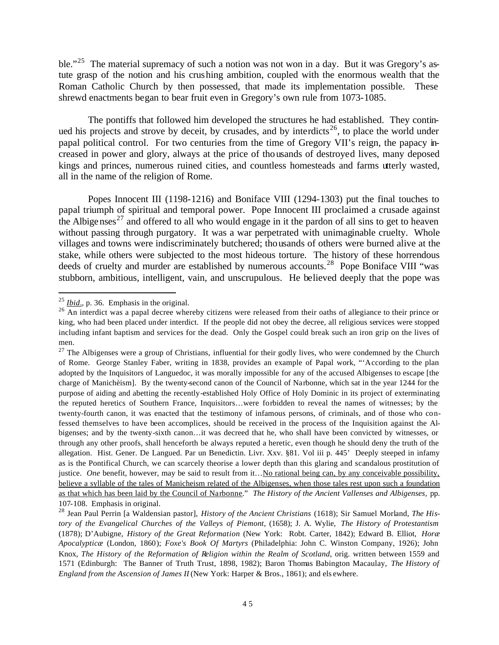ble."<sup>25</sup> The material supremacy of such a notion was not won in a day. But it was Gregory's astute grasp of the notion and his crushing ambition, coupled with the enormous wealth that the Roman Catholic Church by then possessed, that made its implementation possible. These shrewd enactments began to bear fruit even in Gregory's own rule from 1073-1085.

The pontiffs that followed him developed the structures he had established. They continued his projects and strove by deceit, by crusades, and by interdicts<sup>26</sup>, to place the world under papal political control. For two centuries from the time of Gregory VII's reign, the papacy increased in power and glory, always at the price of thousands of destroyed lives, many deposed kings and princes, numerous ruined cities, and countless homesteads and farms utterly wasted, all in the name of the religion of Rome.

Popes Innocent III (1198-1216) and Boniface VIII (1294-1303) put the final touches to papal triumph of spiritual and temporal power. Pope Innocent III proclaimed a crusade against the Albigenses<sup>27</sup> and offered to all who would engage in it the pardon of all sins to get to heaven without passing through purgatory. It was a war perpetrated with unimaginable cruelty. Whole villages and towns were indiscriminately butchered; thousands of others were burned alive at the stake, while others were subjected to the most hideous torture. The history of these horrendous deeds of cruelty and murder are established by numerous accounts.<sup>28</sup> Pope Boniface VIII "was stubborn, ambitious, intelligent, vain, and unscrupulous. He believed deeply that the pope was

<sup>25</sup> *Ibid*., p. 36. Emphasis in the original.

<sup>&</sup>lt;sup>26</sup> An interdict was a papal decree whereby citizens were released from their oaths of allegiance to their prince or king, who had been placed under interdict. If the people did not obey the decree, all religious services were stopped including infant baptism and services for the dead. Only the Gospel could break such an iron grip on the lives of men.

 $^{27}$  The Albigenses were a group of Christians, influential for their godly lives, who were condemned by the Church of Rome. George Stanley Faber, writing in 1838, provides an example of Papal work, "'According to the plan adopted by the Inquisitors of Languedoc, it was morally impossible for any of the accused Albigenses to escape [the charge of Manichèism]. By the twenty-second canon of the Council of Narbonne, which sat in the year 1244 for the purpose of aiding and abetting the recently-established Holy Office of Holy Dominic in its project of exterminating the reputed heretics of Southern France, Inquisitors…were forbidden to reveal the names of witnesses; by the twenty-fourth canon, it was enacted that the testimony of infamous persons, of criminals, and of those who confessed themselves to have been accomplices, should be received in the process of the Inquisition against the Albigenses; and by the twenty-sixth canon…it was decreed that he, who shall have been convicted by witnesses, or through any other proofs, shall henceforth be always reputed a heretic, even though he should deny the truth of the allegation. Hist. Gener. De Langued. Par un Benedictin. Livr. Xxv. §81. Vol iii p. 445' Deeply steeped in infamy as is the Pontifical Church, we can scarcely theorise a lower depth than this glaring and scandalous prostitution of justice. *One* benefit, however, may be said to result from it…No rational being can, by any conceivable possibility, believe a syllable of the tales of Manicheism related of the Albigenses, when those tales rest upon such a foundation as that which has been laid by the Council of Narbonne*.*" *The History of the Ancient Vallenses and Albigenses,* pp. 107-108. Emphasis in original.

<sup>28</sup> Jean Paul Perrin [a Waldensian pastor], *History of the Ancient Christians* (1618); Sir Samuel Morland, *The History of the Evangelical Churches of the Valleys of Piemont*, (1658); J. A. Wylie, *The History of Protestantism*  (1878); D'Aubigne, *History of the Great Reformation* (New York: Robt. Carter, 1842); Edward B. Elliot, *Horæ Apocalypticæ* (London, 1860); *Foxe's Book Of Martyrs* (Philadelphia: John C. Winston Company, 1926); John Knox, *The History of the Reformation of Religion within the Realm of Scotland*, orig. written between 1559 and 1571 (Edinburgh: The Banner of Truth Trust, 1898, 1982); Baron Thomas Babington Macaulay, *The History of England from the Ascension of James II* (New York: Harper & Bros., 1861); and els ewhere.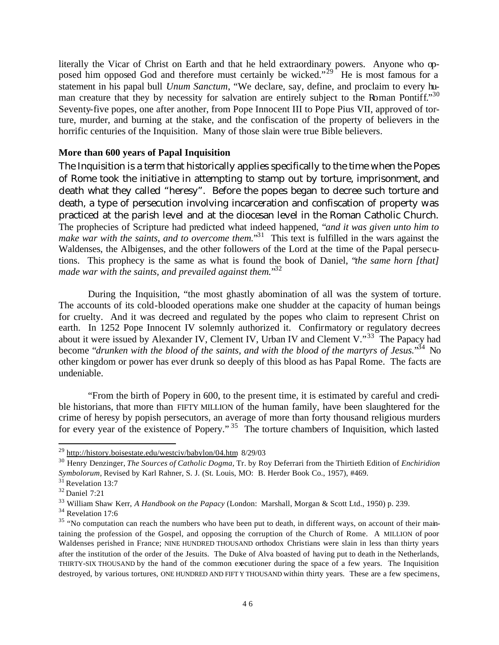literally the Vicar of Christ on Earth and that he held extraordinary powers. Anyone who opposed him opposed God and therefore must certainly be wicked."<sup>29</sup> He is most famous for a statement in his papal bull *Unum Sanctum*, "We declare, say, define, and proclaim to every human creature that they by necessity for salvation are entirely subject to the Roman Pontiff."30 Seventy-five popes, one after another, from Pope Innocent III to Pope Pius VII, approved of torture, murder, and burning at the stake, and the confiscation of the property of believers in the horrific centuries of the Inquisition. Many of those slain were true Bible believers.

# **More than 600 years of Papal Inquisition**

The Inquisition is a term that historically applies specifically to the time when the Popes of Rome took the initiative in attempting to stamp out by torture, imprisonment, and death what they called "heresy". Before the popes began to decree such torture and death, a type of persecution involving incarceration and confiscation of property was practiced at the parish level and at the diocesan level in the Roman Catholic Church. The prophecies of Scripture had predicted what indeed happened, "*and it was given unto him to*  make war with the saints, and to overcome them.<sup>31</sup> This text is fulfilled in the wars against the Waldenses, the Albigenses, and the other followers of the Lord at the time of the Papal persecutions. This prophecy is the same as what is found the book of Daniel, "*the same horn [that] made war with the saints, and prevailed against them.*" 32

During the Inquisition, "the most ghastly abomination of all was the system of torture. The accounts of its cold-blooded operations make one shudder at the capacity of human beings for cruelty. And it was decreed and regulated by the popes who claim to represent Christ on earth. In 1252 Pope Innocent IV solemnly authorized it. Confirmatory or regulatory decrees about it were issued by Alexander IV, Clement IV, Urban IV and Clement V. $^{33}$  The Papacy had become "drunken with the blood of the saints, and with the blood of the martyrs of Jesus."<sup>34</sup> No other kingdom or power has ever drunk so deeply of this blood as has Papal Rome. The facts are undeniable.

"From the birth of Popery in 600, to the present time, it is estimated by careful and credible historians, that more than FIFTY MILLION of the human family, have been slaughtered for the crime of heresy by popish persecutors, an average of more than forty thousand religious murders for every year of the existence of Popery." <sup>35</sup> The torture chambers of Inquisition, which lasted

<sup>&</sup>lt;sup>29</sup> http://history.boisestate.edu/westciv/babylon/04.htm 8/29/03

<sup>30</sup> Henry Denzinger, *The Sources of Catholic Dogma,* Tr. by Roy Deferrari from the Thirtieth Edition of *Enchiridion Symbolorum,* Revised by Karl Rahner, S. J. (St. Louis, MO: B. Herder Book Co., 1957), #469.

<sup>&</sup>lt;sup>31</sup> Revelation 13:7

<sup>32</sup> Daniel 7:21

<sup>33</sup> William Shaw Kerr, *A Handbook on the Papacy* (London: Marshall, Morgan & Scott Ltd., 1950) p. 239.

<sup>&</sup>lt;sup>34</sup> Revelation 17:6

<sup>&</sup>lt;sup>35</sup> "No computation can reach the numbers who have been put to death, in different ways, on account of their maintaining the profession of the Gospel, and opposing the corruption of the Church of Rome. A MILLION of poor Waldenses perished in France; NINE HUNDRED THOUSAND orthodox Christians were slain in less than thirty years after the institution of the order of the Jesuits. The Duke of Alva boasted of having put to death in the Netherlands, THIRTY-SIX THOUSAND by the hand of the common executioner during the space of a few years. The Inquisition destroyed, by various tortures, ONE HUNDRED AND FIFT Y THOUSAND within thirty years. These are a few specimens,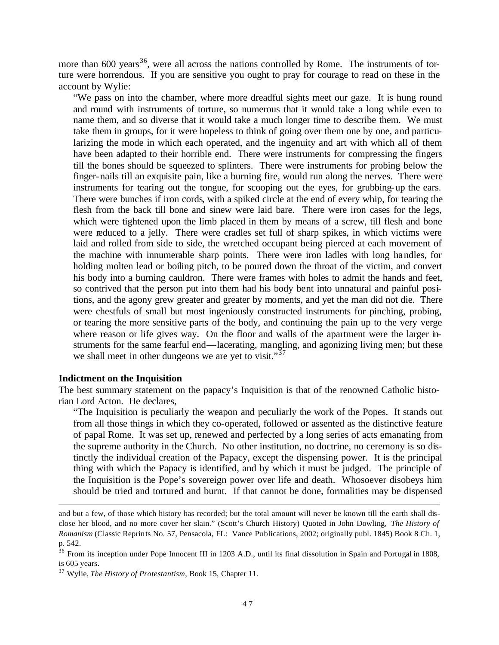more than 600 years<sup>36</sup>, were all across the nations controlled by Rome. The instruments of torture were horrendous. If you are sensitive you ought to pray for courage to read on these in the account by Wylie:

"We pass on into the chamber, where more dreadful sights meet our gaze. It is hung round and round with instruments of torture, so numerous that it would take a long while even to name them, and so diverse that it would take a much longer time to describe them. We must take them in groups, for it were hopeless to think of going over them one by one, and particularizing the mode in which each operated, and the ingenuity and art with which all of them have been adapted to their horrible end. There were instruments for compressing the fingers till the bones should be squeezed to splinters. There were instruments for probing below the finger-nails till an exquisite pain, like a burning fire, would run along the nerves. There were instruments for tearing out the tongue, for scooping out the eyes, for grubbing-up the ears. There were bunches if iron cords, with a spiked circle at the end of every whip, for tearing the flesh from the back till bone and sinew were laid bare. There were iron cases for the legs, which were tightened upon the limb placed in them by means of a screw, till flesh and bone were reduced to a jelly. There were cradles set full of sharp spikes, in which victims were laid and rolled from side to side, the wretched occupant being pierced at each movement of the machine with innumerable sharp points. There were iron ladles with long handles, for holding molten lead or boiling pitch, to be poured down the throat of the victim, and convert his body into a burning cauldron. There were frames with holes to admit the hands and feet, so contrived that the person put into them had his body bent into unnatural and painful positions, and the agony grew greater and greater by moments, and yet the man did not die. There were chestfuls of small but most ingeniously constructed instruments for pinching, probing, or tearing the more sensitive parts of the body, and continuing the pain up to the very verge where reason or life gives way. On the floor and walls of the apartment were the larger instruments for the same fearful end—lacerating, mangling, and agonizing living men; but these we shall meet in other dungeons we are yet to visit."<sup>37</sup>

## **Indictment on the Inquisition**

 $\overline{a}$ 

The best summary statement on the papacy's Inquisition is that of the renowned Catholic historian Lord Acton. He declares,

"The Inquisition is peculiarly the weapon and peculiarly the work of the Popes. It stands out from all those things in which they co-operated, followed or assented as the distinctive feature of papal Rome. It was set up, renewed and perfected by a long series of acts emanating from the supreme authority in the Church. No other institution, no doctrine, no ceremony is so distinctly the individual creation of the Papacy, except the dispensing power. It is the principal thing with which the Papacy is identified, and by which it must be judged. The principle of the Inquisition is the Pope's sovereign power over life and death. Whosoever disobeys him should be tried and tortured and burnt. If that cannot be done, formalities may be dispensed

and but a few, of those which history has recorded; but the total amount will never be known till the earth shall disclose her blood, and no more cover her slain." (Scott's Church History) Quoted in John Dowling, *The History of Romanism* (Classic Reprints No. 57, Pensacola, FL: Vance Publications, 2002; originally publ. 1845) Book 8 Ch. 1, p. 542.

<sup>&</sup>lt;sup>36</sup> From its inception under Pope Innocent III in 1203 A.D., until its final dissolution in Spain and Portugal in 1808, is 605 years.

<sup>37</sup> Wylie, *The History of Protestantism*, Book 15, Chapter 11.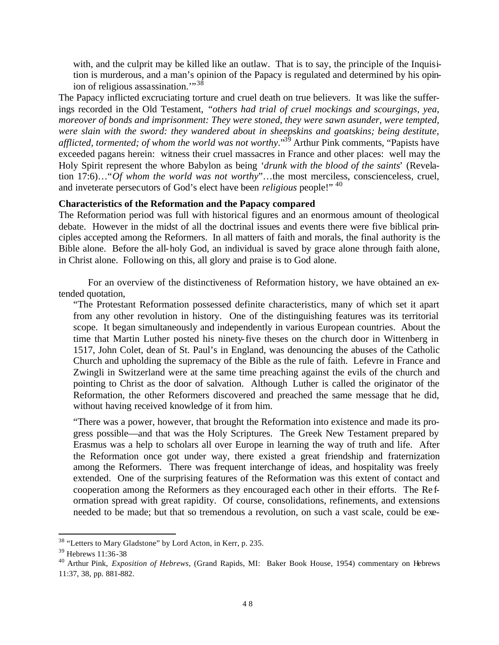with, and the culprit may be killed like an outlaw. That is to say, the principle of the Inquisition is murderous, and a man's opinion of the Papacy is regulated and determined by his opinion of religious assassination."<sup>38</sup>

The Papacy inflicted excruciating torture and cruel death on true believers. It was like the sufferings recorded in the Old Testament, "*others had trial of cruel mockings and scourgings, yea, moreover of bonds and imprisonment: They were stoned, they were sawn asunder, were tempted, were slain with the sword: they wandered about in sheepskins and goatskins; being destitute, afflicted, tormented; of whom the world was not worthy*."<sup>39</sup> Arthur Pink comments, "Papists have exceeded pagans herein: witness their cruel massacres in France and other places: well may the Holy Spirit represent the whore Babylon as being '*drunk with the blood of the saints*' (Revelation 17:6)…"*Of whom the world was not worthy*"…the most merciless, conscienceless, cruel, and inveterate persecutors of God's elect have been *religious* people!" <sup>40</sup>

## **Characteristics of the Reformation and the Papacy compared**

The Reformation period was full with historical figures and an enormous amount of theological debate. However in the midst of all the doctrinal issues and events there were five biblical principles accepted among the Reformers. In all matters of faith and morals, the final authority is the Bible alone. Before the all-holy God, an individual is saved by grace alone through faith alone, in Christ alone. Following on this, all glory and praise is to God alone.

For an overview of the distinctiveness of Reformation history, we have obtained an extended quotation,

"The Protestant Reformation possessed definite characteristics, many of which set it apart from any other revolution in history. One of the distinguishing features was its territorial scope. It began simultaneously and independently in various European countries. About the time that Martin Luther posted his ninety-five theses on the church door in Wittenberg in 1517, John Colet, dean of St. Paul's in England, was denouncing the abuses of the Catholic Church and upholding the supremacy of the Bible as the rule of faith. Lefevre in France and Zwingli in Switzerland were at the same time preaching against the evils of the church and pointing to Christ as the door of salvation. Although Luther is called the originator of the Reformation, the other Reformers discovered and preached the same message that he did, without having received knowledge of it from him.

"There was a power, however, that brought the Reformation into existence and made its progress possible—and that was the Holy Scriptures. The Greek New Testament prepared by Erasmus was a help to scholars all over Europe in learning the way of truth and life. After the Reformation once got under way, there existed a great friendship and fraternization among the Reformers. There was frequent interchange of ideas, and hospitality was freely extended. One of the surprising features of the Reformation was this extent of contact and cooperation among the Reformers as they encouraged each other in their efforts. The Re formation spread with great rapidity. Of course, consolidations, refinements, and extensions needed to be made; but that so tremendous a revolution, on such a vast scale, could be exe-

 $38$  "Letters to Mary Gladstone" by Lord Acton, in Kerr, p. 235.

<sup>39</sup> Hebrews 11:36-38

<sup>40</sup> Arthur Pink, *Exposition of Hebrews*, (Grand Rapids, MI: Baker Book House, 1954) commentary on Hebrews 11:37, 38, pp. 881-882.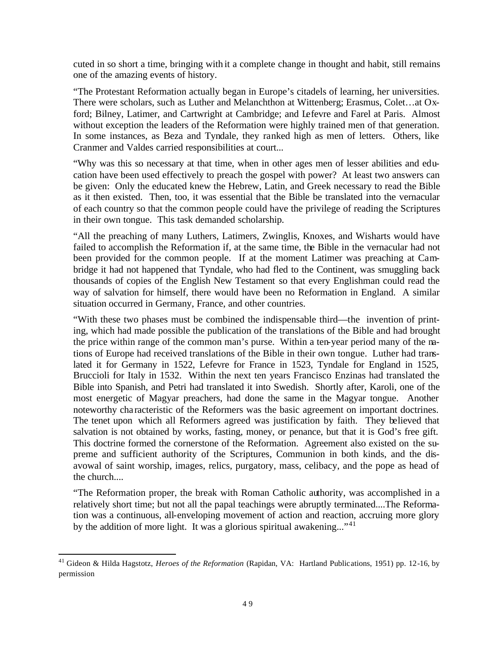cuted in so short a time, bringing with it a complete change in thought and habit, still remains one of the amazing events of history.

"The Protestant Reformation actually began in Europe's citadels of learning, her universities. There were scholars, such as Luther and Melanchthon at Wittenberg; Erasmus, Colet…at Oxford; Bilney, Latimer, and Cartwright at Cambridge; and Lefevre and Farel at Paris. Almost without exception the leaders of the Reformation were highly trained men of that generation. In some instances, as Beza and Tyndale, they ranked high as men of letters. Others, like Cranmer and Valdes carried responsibilities at court...

"Why was this so necessary at that time, when in other ages men of lesser abilities and education have been used effectively to preach the gospel with power? At least two answers can be given: Only the educated knew the Hebrew, Latin, and Greek necessary to read the Bible as it then existed. Then, too, it was essential that the Bible be translated into the vernacular of each country so that the common people could have the privilege of reading the Scriptures in their own tongue. This task demanded scholarship.

"All the preaching of many Luthers, Latimers, Zwinglis, Knoxes, and Wisharts would have failed to accomplish the Reformation if, at the same time, the Bible in the vernacular had not been provided for the common people. If at the moment Latimer was preaching at Cambridge it had not happened that Tyndale, who had fled to the Continent, was smuggling back thousands of copies of the English New Testament so that every Englishman could read the way of salvation for himself, there would have been no Reformation in England. A similar situation occurred in Germany, France, and other countries.

"With these two phases must be combined the indispensable third—the invention of printing, which had made possible the publication of the translations of the Bible and had brought the price within range of the common man's purse. Within a ten-year period many of the nations of Europe had received translations of the Bible in their own tongue. Luther had translated it for Germany in 1522, Lefevre for France in 1523, Tyndale for England in 1525, Bruccioli for Italy in 1532. Within the next ten years Francisco Enzinas had translated the Bible into Spanish, and Petri had translated it into Swedish. Shortly after, Karoli, one of the most energetic of Magyar preachers, had done the same in the Magyar tongue. Another noteworthy cha racteristic of the Reformers was the basic agreement on important doctrines. The tenet upon which all Reformers agreed was justification by faith. They believed that salvation is not obtained by works, fasting, money, or penance, but that it is God's free gift. This doctrine formed the cornerstone of the Reformation. Agreement also existed on the supreme and sufficient authority of the Scriptures, Communion in both kinds, and the disavowal of saint worship, images, relics, purgatory, mass, celibacy, and the pope as head of the church....

"The Reformation proper, the break with Roman Catholic authority, was accomplished in a relatively short time; but not all the papal teachings were abruptly terminated....The Reformation was a continuous, all-enveloping movement of action and reaction, accruing more glory by the addition of more light. It was a glorious spiritual awakening..."<sup>41</sup>

 $\overline{a}$ <sup>41</sup> Gideon & Hilda Hagstotz, *Heroes of the Reformation* (Rapidan, VA: Hartland Publications, 1951) pp. 12-16, by permission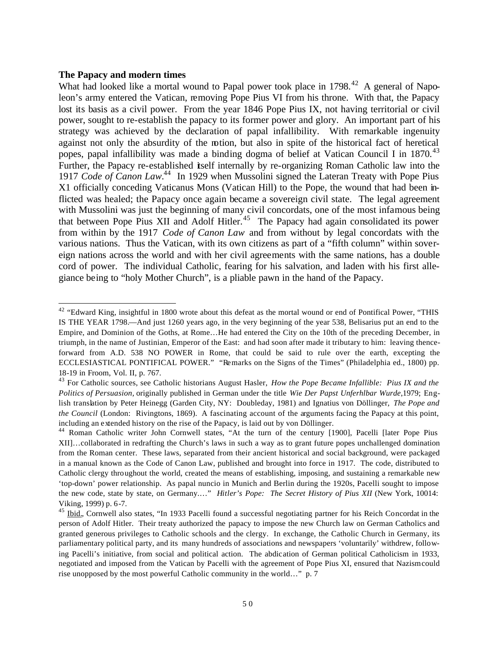#### **The Papacy and modern times**

What had looked like a mortal wound to Papal power took place in 1798.<sup>42</sup> A general of Napoleon's army entered the Vatican, removing Pope Pius VI from his throne. With that, the Papacy lost its basis as a civil power. From the year 1846 Pope Pius IX, not having territorial or civil power, sought to re-establish the papacy to its former power and glory. An important part of his strategy was achieved by the declaration of papal infallibility. With remarkable ingenuity against not only the absurdity of the notion, but also in spite of the historical fact of heretical popes, papal infallibility was made a binding dogma of belief at Vatican Council I in 1870.<sup>43</sup> Further, the Papacy re-established itself internally by re-organizing Roman Catholic law into the 1917 *Code of Canon Law*.<sup>44</sup> In 1929 when Mussolini signed the Lateran Treaty with Pope Pius X1 officially conceding Vaticanus Mons (Vatican Hill) to the Pope, the wound that had been inflicted was healed; the Papacy once again became a sovereign civil state. The legal agreement with Mussolini was just the beginning of many civil concordats, one of the most infamous being that between Pope Pius XII and Adolf Hitler.<sup>45</sup> The Papacy had again consolidated its power from within by the 1917 *Code of Canon Law* and from without by legal concordats with the various nations. Thus the Vatican, with its own citizens as part of a "fifth column" within sovereign nations across the world and with her civil agreements with the same nations, has a double cord of power. The individual Catholic, fearing for his salvation, and laden with his first allegiance being to "holy Mother Church", is a pliable pawn in the hand of the Papacy.

 $\overline{a}$ <sup>42</sup> "Edward King, insightful in 1800 wrote about this defeat as the mortal wound or end of Pontifical Power, "THIS IS THE YEAR 1798.—And just 1260 years ago, in the very beginning of the year 538, Belisarius put an end to the Empire, and Dominion of the Goths, at Rome…He had entered the City on the 10th of the preceding December, in triumph, in the name of Justinian, Emperor of the East: and had soon after made it tributary to him: leaving thenceforward from A.D. 538 NO POWER in Rome, that could be said to rule over the earth, excepting the ECCLESIASTICAL PONTIFICAL POWER." "Remarks on the Signs of the Times" (Philadelphia ed., 1800) pp. 18-19 in Froom, Vol. II, p. 767.

<sup>43</sup> For Catholic sources, see Catholic historians August Hasler, *How the Pope Became Infallible: Pius IX and the Politics of Persuasion,* originally published in German under the title *Wie Der Papst Unferhlbar Wurde*,1979; English translation by Peter Heinegg (Garden City, NY: Doubleday, 1981) and Ignatius von Döllinger, *The Pope and the Council* (London: Rivingtons, 1869).A fascinating account of the arguments facing the Papacy at this point, including an extended history on the rise of the Papacy, is laid out by von Döllinger.

<sup>44</sup> Roman Catholic writer John Cornwell states, "At the turn of the century [1900], Pacelli [later Pope Pius XII]…collaborated in redrafting the Church's laws in such a way as to grant future popes unchallenged domination from the Roman center. These laws, separated from their ancient historical and social background, were packaged in a manual known as the Code of Canon Law, published and brought into force in 1917. The code, distributed to Catholic clergy throughout the world, created the means of establishing, imposing, and sustaining a remarkable new 'top-down' power relationship. As papal nuncio in Munich and Berlin during the 1920s, Pacelli sought to impose the new code, state by state, on Germany.…" *Hitler's Pope: The Secret History of Pius XII* (New York, 10014: Viking, 1999) p. 6-7.

<sup>&</sup>lt;sup>45</sup> Ibid., Cornwell also states, "In 1933 Pacelli found a successful negotiating partner for his Reich Concordat in the person of Adolf Hitler. Their treaty authorized the papacy to impose the new Church law on German Catholics and granted generous privileges to Catholic schools and the clergy. In exchange, the Catholic Church in Germany, its parliamentary political party, and its many hundreds of associations and newspapers 'voluntarily' withdrew, following Pacelli's initiative, from social and political action. The abdication of German political Catholicism in 1933, negotiated and imposed from the Vatican by Pacelli with the agreement of Pope Pius XI, ensured that Nazism could rise unopposed by the most powerful Catholic community in the world…" p. 7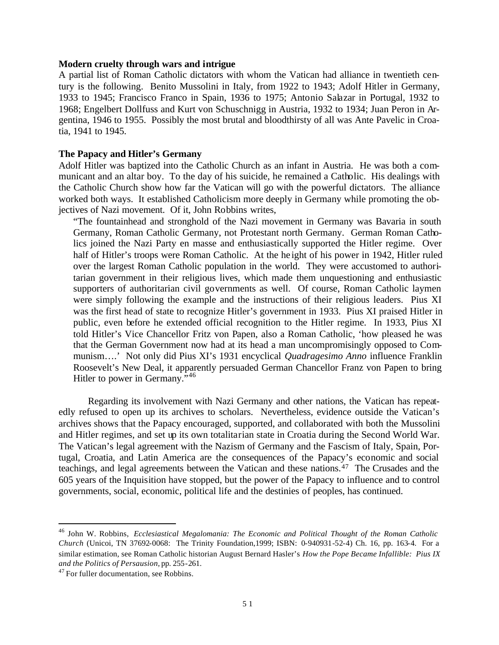#### **Modern cruelty through wars and intrigue**

A partial list of Roman Catholic dictators with whom the Vatican had alliance in twentieth century is the following. Benito Mussolini in Italy, from 1922 to 1943; Adolf Hitler in Germany, 1933 to 1945; Francisco Franco in Spain, 1936 to 1975; Antonio Salazar in Portugal, 1932 to 1968; Engelbert Dollfuss and Kurt von Schuschnigg in Austria, 1932 to 1934; Juan Peron in Argentina, 1946 to 1955. Possibly the most brutal and bloodthirsty of all was Ante Pavelic in Croatia, 1941 to 1945.

#### **The Papacy and Hitler's Germany**

Adolf Hitler was baptized into the Catholic Church as an infant in Austria. He was both a communicant and an altar boy. To the day of his suicide, he remained a Catholic. His dealings with the Catholic Church show how far the Vatican will go with the powerful dictators. The alliance worked both ways. It established Catholicism more deeply in Germany while promoting the objectives of Nazi movement. Of it, John Robbins writes,

"The fountainhead and stronghold of the Nazi movement in Germany was Bavaria in south Germany, Roman Catholic Germany, not Protestant north Germany. German Roman Catholics joined the Nazi Party en masse and enthusiastically supported the Hitler regime. Over half of Hitler's troops were Roman Catholic. At the he ight of his power in 1942, Hitler ruled over the largest Roman Catholic population in the world. They were accustomed to authoritarian government in their religious lives, which made them unquestioning and enthusiastic supporters of authoritarian civil governments as well. Of course, Roman Catholic laymen were simply following the example and the instructions of their religious leaders. Pius XI was the first head of state to recognize Hitler's government in 1933. Pius XI praised Hitler in public, even before he extended official recognition to the Hitler regime. In 1933, Pius XI told Hitler's Vice Chancellor Fritz von Papen, also a Roman Catholic, 'how pleased he was that the German Government now had at its head a man uncompromisingly opposed to Communism….' Not only did Pius XI's 1931 encyclical *Quadragesimo Anno* influence Franklin Roosevelt's New Deal, it apparently persuaded German Chancellor Franz von Papen to bring Hitler to power in Germany."<sup>46</sup>

Regarding its involvement with Nazi Germany and other nations, the Vatican has repeatedly refused to open up its archives to scholars. Nevertheless, evidence outside the Vatican's archives shows that the Papacy encouraged, supported, and collaborated with both the Mussolini and Hitler regimes, and set up its own totalitarian state in Croatia during the Second World War. The Vatican's legal agreement with the Nazism of Germany and the Fascism of Italy, Spain, Portugal, Croatia, and Latin America are the consequences of the Papacy's economic and social teachings, and legal agreements between the Vatican and these nations.<sup>47</sup> The Crusades and the 605 years of the Inquisition have stopped, but the power of the Papacy to influence and to control governments, social, economic, political life and the destinies of peoples, has continued.

<sup>46</sup> John W. Robbins, *Ecclesiastical Megalomania: The Economic and Political Thought of the Roman Catholic Church* (Unicoi, TN 37692-0068: The Trinity Foundation,1999; ISBN: 0-940931-52-4) Ch. 16, pp. 163-4. For a similar estimation, see Roman Catholic historian August Bernard Hasler's *How the Pope Became Infallible: Pius IX and the Politics of Persausion,* pp. 255-261.

<sup>&</sup>lt;sup>47</sup> For fuller documentation, see Robbins.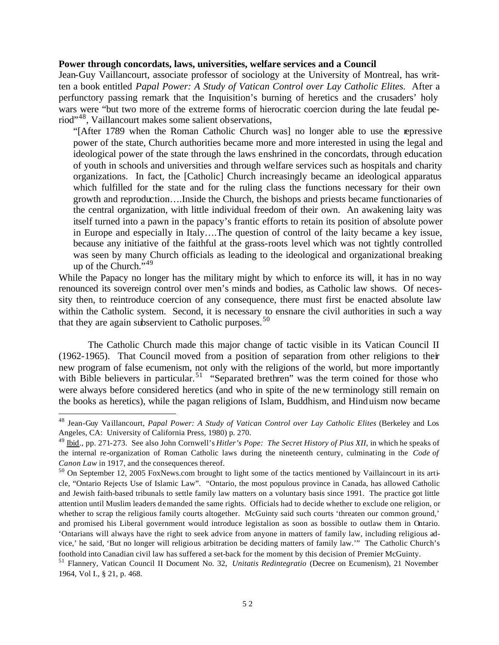#### **Power through concordats, laws, universities, welfare services and a Council**

Jean-Guy Vaillancourt, associate professor of sociology at the University of Montreal, has written a book entitled *Papal Power: A Study of Vatican Control over Lay Catholic Elites.* After a perfunctory passing remark that the Inquisition's burning of heretics and the crusaders' holy wars were "but two more of the extreme forms of hierocratic coercion during the late feudal period"<sup>48</sup>, Vaillancourt makes some salient observations,

"[After 1789 when the Roman Catholic Church was] no longer able to use the repressive power of the state, Church authorities became more and more interested in using the legal and ideological power of the state through the laws enshrined in the concordats, through education of youth in schools and universities and through welfare services such as hospitals and charity organizations. In fact, the [Catholic] Church increasingly became an ideological apparatus which fulfilled for the state and for the ruling class the functions necessary for their own growth and reproduction….Inside the Church, the bishops and priests became functionaries of the central organization, with little individual freedom of their own. An awakening laity was itself turned into a pawn in the papacy's frantic efforts to retain its position of absolute power in Europe and especially in Italy….The question of control of the laity became a key issue, because any initiative of the faithful at the grass-roots level which was not tightly controlled was seen by many Church officials as leading to the ideological and organizational breaking up of the Church."<sup>49</sup>

While the Papacy no longer has the military might by which to enforce its will, it has in no way renounced its sovereign control over men's minds and bodies, as Catholic law shows. Of necessity then, to reintroduce coercion of any consequence, there must first be enacted absolute law within the Catholic system. Second, it is necessary to ensnare the civil authorities in such a way that they are again subservient to Catholic purposes. $50$ 

The Catholic Church made this major change of tactic visible in its Vatican Council II (1962-1965). That Council moved from a position of separation from other religions to their new program of false ecumenism, not only with the religions of the world, but more importantly with Bible believers in particular.<sup>51</sup> "Separated brethren" was the term coined for those who were always before considered heretics (and who in spite of the new terminology still remain on the books as heretics), while the pagan religions of Islam, Buddhism, and Hinduism now became

<sup>48</sup> Jean-Guy Vaillancourt, *Papal Power: A Study of Vatican Control over Lay Catholic Elites* (Berkeley and Los Angeles, CA: University of California Press, 1980) p. 270.

<sup>49</sup> Ibid., pp. 271-273. See also John Cornwell's *Hitler's Pope: The Secret History of Pius XII,* in which he speaks of the internal re-organization of Roman Catholic laws during the nineteenth century, culminating in the *Code of Canon Law* in 1917, and the consequences thereof.

<sup>50</sup> On September 12, 2005 FoxNews.com brought to light some of the tactics mentioned by Vaillaincourt in its article, "Ontario Rejects Use of Islamic Law". "Ontario, the most populous province in Canada, has allowed Catholic and Jewish faith-based tribunals to settle family law matters on a voluntary basis since 1991. The practice got little attention until Muslim leaders demanded the same rights. Officials had to decide whether to exclude one religion, or whether to scrap the religious family courts altogether. McGuinty said such courts 'threaten our common ground,' and promised his Liberal government would introduce legistalion as soon as bossible to outlaw them in Ontario. 'Ontarians will always have the right to seek advice from anyone in matters of family law, including religious advice,' he said, 'But no longer will religious arbitration be deciding matters of family law.'" The Catholic Church's foothold into Canadian civil law has suffered a set-back for the moment by this decision of Premier McGuinty.

<sup>51</sup> Flannery, Vatican Council II Document No. 32, *Unitatis Redintegratio* (Decree on Ecumenism), 21 November 1964, Vol I., § 21, p. 468.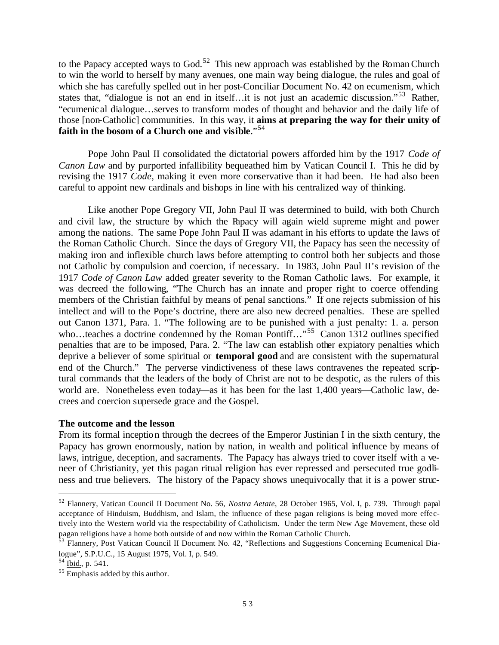to the Papacy accepted ways to God.<sup>52</sup> This new approach was established by the Roman Church to win the world to herself by many avenues, one main way being dialogue, the rules and goal of which she has carefully spelled out in her post-Conciliar Document No. 42 on ecumenism, which states that, "dialogue is not an end in itself...it is not just an academic discussion."<sup>53</sup> Rather, "ecumenical dialogue…serves to transform modes of thought and behavior and the daily life of those [non-Catholic] communities. In this way, it **aims at preparing the way for their unity of faith in the bosom of a Church one and visible**."<sup>54</sup>

Pope John Paul II consolidated the dictatorial powers afforded him by the 1917 *Code of Canon Law* and by purported infallibility bequeathed him by Vatican Council I. This he did by revising the 1917 *Code*, making it even more conservative than it had been. He had also been careful to appoint new cardinals and bishops in line with his centralized way of thinking.

Like another Pope Gregory VII, John Paul II was determined to build, with both Church and civil law, the structure by which the Papacy will again wield supreme might and power among the nations. The same Pope John Paul II was adamant in his efforts to update the laws of the Roman Catholic Church. Since the days of Gregory VII, the Papacy has seen the necessity of making iron and inflexible church laws before attempting to control both her subjects and those not Catholic by compulsion and coercion, if necessary. In 1983, John Paul II's revision of the 1917 *Code of Canon Law* added greater severity to the Roman Catholic laws. For example, it was decreed the following, "The Church has an innate and proper right to coerce offending members of the Christian faithful by means of penal sanctions." If one rejects submission of his intellect and will to the Pope's doctrine, there are also new decreed penalties. These are spelled out Canon 1371, Para. 1. "The following are to be punished with a just penalty: 1. a. person who…teaches a doctrine condemned by the Roman Pontiff…"<sup>55</sup> Canon 1312 outlines specified penalties that are to be imposed, Para. 2. "The law can establish other expiatory penalties which deprive a believer of some spiritual or **temporal good** and are consistent with the supernatural end of the Church." The perverse vindictiveness of these laws contravenes the repeated scriptural commands that the leaders of the body of Christ are not to be despotic, as the rulers of this world are. Nonetheless even today—as it has been for the last 1,400 years—Catholic law, decrees and coercion supersede grace and the Gospel.

## **The outcome and the lesson**

From its formal inception through the decrees of the Emperor Justinian I in the sixth century, the Papacy has grown enormously, nation by nation, in wealth and political influence by means of laws, intrigue, deception, and sacraments. The Papacy has always tried to cover itself with a veneer of Christianity, yet this pagan ritual religion has ever repressed and persecuted true godliness and true believers. The history of the Papacy shows unequivocally that it is a power struc-

<sup>52</sup> Flannery, Vatican Council II Document No. 56, *Nostra Aetate*, 28 October 1965, Vol. I, p. 739. Through papal acceptance of Hinduism, Buddhism, and Islam, the influence of these pagan religions is being moved more effectively into the Western world via the respectability of Catholicism. Under the term New Age Movement, these old pagan religions have a home both outside of and now within the Roman Catholic Church.

<sup>&</sup>lt;sup>53</sup> Flannery, Post Vatican Council II Document No. 42, "Reflections and Suggestions Concerning Ecumenical Dialogue", S.P.U.C., 15 August 1975, Vol. I, p. 549.

 $^{54}$  Ibid., p. 541.

<sup>55</sup> Emphasis added by this author.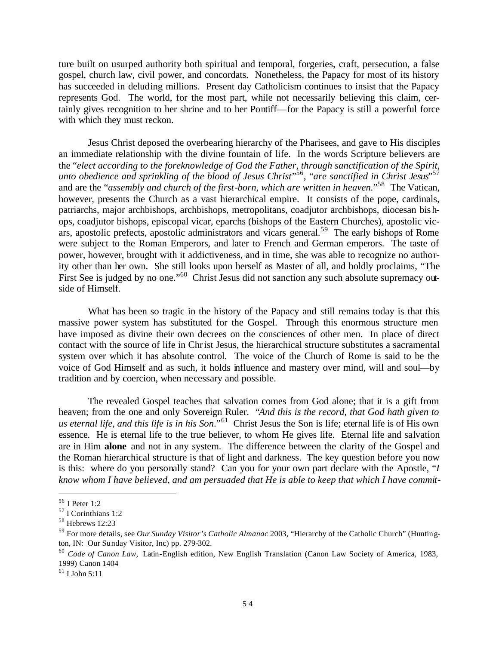ture built on usurped authority both spiritual and temporal, forgeries, craft, persecution, a false gospel, church law, civil power, and concordats. Nonetheless, the Papacy for most of its history has succeeded in deluding millions. Present day Catholicism continues to insist that the Papacy represents God. The world, for the most part, while not necessarily believing this claim, certainly gives recognition to her shrine and to her Pontiff—for the Papacy is still a powerful force with which they must reckon.

Jesus Christ deposed the overbearing hierarchy of the Pharisees, and gave to His disciples an immediate relationship with the divine fountain of life. In the words Scripture believers are the "*elect according to the foreknowledge of God the Father, through sanctification of the Spirit, unto obedience and sprinkling of the blood of Jesus Christ*" 56 , "*are sanctified in Christ Jesus*" 57 and are the "*assembly and church of the first-born, which are written in heaven.*"<sup>58</sup> The Vatican, however, presents the Church as a vast hierarchical empire. It consists of the pope, cardinals, patriarchs, major archbishops, archbishops, metropolitans, coadjutor archbishops, diocesan bishops, coadjutor bishops, episcopal vicar, eparchs (bishops of the Eastern Churches), apostolic vicars, apostolic prefects, apostolic administrators and vicars general.<sup>59</sup> The early bishops of Rome were subject to the Roman Emperors, and later to French and German emperors. The taste of power, however, brought with it addictiveness, and in time, she was able to recognize no authority other than her own. She still looks upon herself as Master of all, and boldly proclaims, "The First See is judged by no one."<sup>60</sup> Christ Jesus did not sanction any such absolute supremacy outside of Himself.

What has been so tragic in the history of the Papacy and still remains today is that this massive power system has substituted for the Gospel. Through this enormous structure men have imposed as divine their own decrees on the consciences of other men. In place of direct contact with the source of life in Christ Jesus, the hierarchical structure substitutes a sacramental system over which it has absolute control. The voice of the Church of Rome is said to be the voice of God Himself and as such, it holds influence and mastery over mind, will and soul—by tradition and by coercion, when necessary and possible.

The revealed Gospel teaches that salvation comes from God alone; that it is a gift from heaven; from the one and only Sovereign Ruler. "*And this is the record, that God hath given to*  us eternal life, and this life is in his Son."<sup>61</sup> Christ Jesus the Son is life; eternal life is of His own essence. He is eternal life to the true believer, to whom He gives life. Eternal life and salvation are in Him **alone** and not in any system. The difference between the clarity of the Gospel and the Roman hierarchical structure is that of light and darkness. The key question before you now is this: where do you personally stand? Can you for your own part declare with the Apostle, "*I know whom I have believed, and am persuaded that He is able to keep that which I have commit-*

<sup>56</sup> I Peter 1:2

<sup>57</sup> I Corinthians 1:2

<sup>58</sup> Hebrews 12:23

<sup>59</sup> For more details, see *Our Sunday Visitor's Catholic Almanac* 2003, "Hierarchy of the Catholic Church" (Huntington, IN: Our Sunday Visitor, Inc) pp. 279-302.

<sup>60</sup> *Code of Canon Law,* Latin-English edition, New English Translation (Canon Law Society of America, 1983, 1999) Canon 1404

 $^{61}$  I John 5:11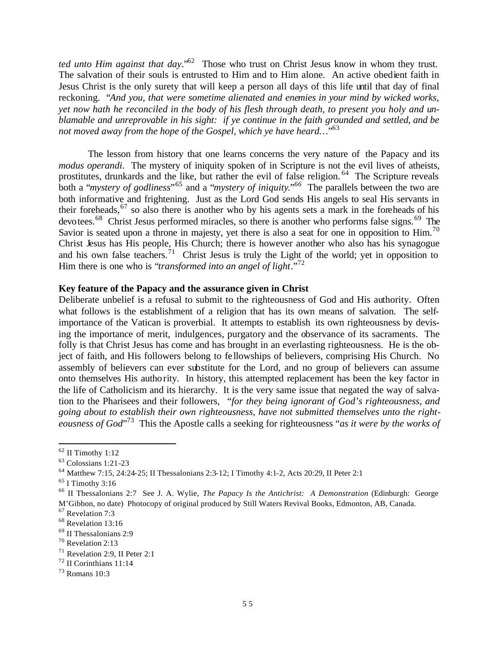*ted unto Him against that day.*"<sup>62</sup> Those who trust on Christ Jesus know in whom they trust. The salvation of their souls is entrusted to Him and to Him alone. An active obedient faith in Jesus Christ is the only surety that will keep a person all days of this life until that day of final reckoning. "*And you, that were sometime alienated and enemies in your mind by wicked works, yet now hath he reconciled in the body of his flesh through death, to present you holy and unblamable and unreprovable in his sight: if ye continue in the faith grounded and settled, and be not moved away from the hope of the Gospel, which ye have heard…*" 63

The lesson from history that one learns concerns the very nature of the Papacy and its *modus operandi*. The mystery of iniquity spoken of in Scripture is not the evil lives of atheists, prostitutes, drunkards and the like, but rather the evil of false religion.<sup>64</sup> The Scripture reveals both a "*mystery of godliness*"<sup>65</sup> and a "*mystery of iniquity*."<sup>66</sup> The parallels between the two are both informative and frightening. Just as the Lord God sends His angels to seal His servants in their foreheads,<sup>67</sup> so also there is another who by his agents sets a mark in the foreheads of his devotees.<sup>68</sup> Christ Jesus performed miracles, so there is another who performs false signs.<sup>69</sup> The Savior is seated upon a throne in majesty, yet there is also a seat for one in opposition to Him.<sup>70</sup> Christ Jesus has His people, His Church; there is however another who also has his synagogue and his own false teachers.<sup>71</sup> Christ Jesus is truly the Light of the world; yet in opposition to Him there is one who is "*transformed into an angel of light*."<sup>72</sup>

## **Key feature of the Papacy and the assurance given in Christ**

Deliberate unbelief is a refusal to submit to the righteousness of God and His authority. Often what follows is the establishment of a religion that has its own means of salvation. The selfimportance of the Vatican is proverbial. It attempts to establish its own righteousness by devising the importance of merit, indulgences, purgatory and the observance of its sacraments. The folly is that Christ Jesus has come and has brought in an everlasting righteousness. He is the object of faith, and His followers belong to fe llowships of believers, comprising His Church. No assembly of believers can ever substitute for the Lord, and no group of believers can assume onto themselves His authority. In history, this attempted replacement has been the key factor in the life of Catholicism and its hierarchy. It is the very same issue that negated the way of salvation to the Pharisees and their followers, "*for they being ignorant of God's righteousness, and going about to establish their own righteousness, have not submitted themselves unto the righteousness of God*" 73 This the Apostle calls a seeking for righteousness "*as it were by the works of* 

 $62$  II Timothy 1:12

<sup>63</sup> Colossians 1:21-23

<sup>64</sup> Matthew 7:15, 24:24-25; II Thessalonians 2:3-12; I Timothy 4:1-2, Acts 20:29, II Peter 2:1

 $65$  I Timothy 3:16

<sup>66</sup> II Thessalonians 2:7 See J. A. Wylie, *The Papacy Is the Antichrist: A Demonstration* (Edinburgh: George M'Gibbon, no date) Photocopy of original produced by Still Waters Revival Books, Edmonton, AB, Canada.

<sup>67</sup> Revelation 7:3

<sup>&</sup>lt;sup>68</sup> Revelation 13:16

<sup>69</sup> II Thessalonians 2:9

<sup>70</sup> Revelation 2:13

<sup>71</sup> Revelation 2:9, II Peter 2:1

<sup>72</sup> II Corinthians 11:14

<sup>73</sup> Romans 10:3